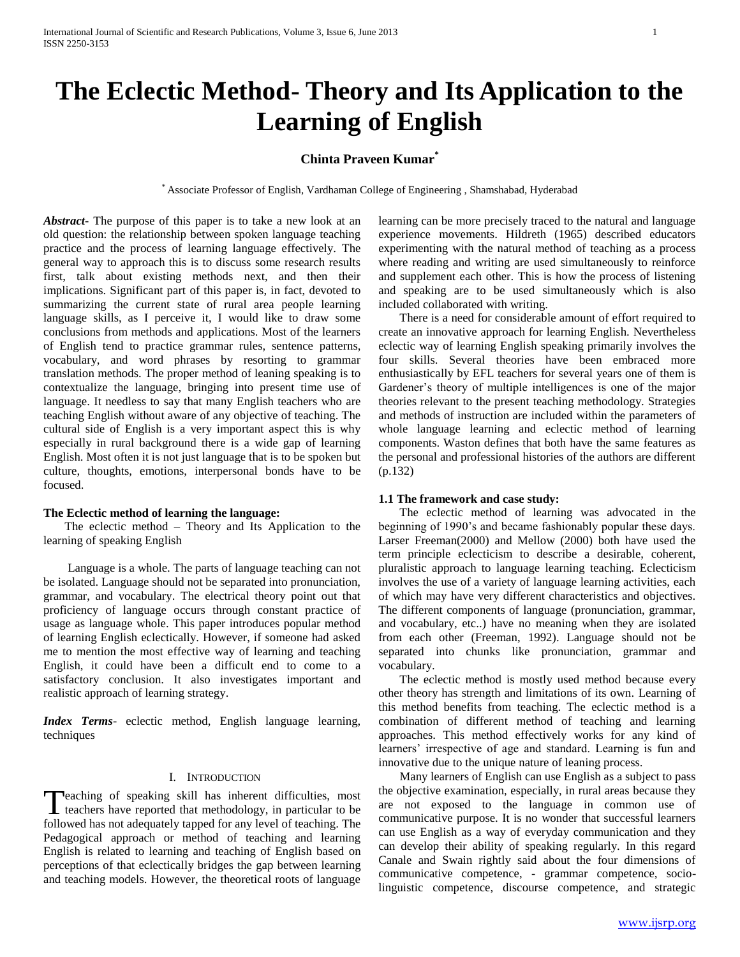# **The Eclectic Method- Theory and Its Application to the Learning of English**

## **Chinta Praveen Kumar\***

\* Associate Professor of English, Vardhaman College of Engineering , Shamshabad, Hyderabad

*Abstract***-** The purpose of this paper is to take a new look at an old question: the relationship between spoken language teaching practice and the process of learning language effectively. The general way to approach this is to discuss some research results first, talk about existing methods next, and then their implications. Significant part of this paper is, in fact, devoted to summarizing the current state of rural area people learning language skills, as I perceive it, I would like to draw some conclusions from methods and applications. Most of the learners of English tend to practice grammar rules, sentence patterns, vocabulary, and word phrases by resorting to grammar translation methods. The proper method of leaning speaking is to contextualize the language, bringing into present time use of language. It needless to say that many English teachers who are teaching English without aware of any objective of teaching. The cultural side of English is a very important aspect this is why especially in rural background there is a wide gap of learning English. Most often it is not just language that is to be spoken but culture, thoughts, emotions, interpersonal bonds have to be focused.

#### **The Eclectic method of learning the language:**

 The eclectic method – Theory and Its Application to the learning of speaking English

 Language is a whole. The parts of language teaching can not be isolated. Language should not be separated into pronunciation, grammar, and vocabulary. The electrical theory point out that proficiency of language occurs through constant practice of usage as language whole. This paper introduces popular method of learning English eclectically. However, if someone had asked me to mention the most effective way of learning and teaching English, it could have been a difficult end to come to a satisfactory conclusion. It also investigates important and realistic approach of learning strategy.

*Index Terms*- eclectic method, English language learning, techniques

## I. INTRODUCTION

Teaching of speaking skill has inherent difficulties, most Teaching of speaking skill has inherent difficulties, most teachers have reported that methodology, in particular to be followed has not adequately tapped for any level of teaching. The Pedagogical approach or method of teaching and learning English is related to learning and teaching of English based on perceptions of that eclectically bridges the gap between learning and teaching models. However, the theoretical roots of language

learning can be more precisely traced to the natural and language experience movements. Hildreth (1965) described educators experimenting with the natural method of teaching as a process where reading and writing are used simultaneously to reinforce and supplement each other. This is how the process of listening and speaking are to be used simultaneously which is also included collaborated with writing.

 There is a need for considerable amount of effort required to create an innovative approach for learning English. Nevertheless eclectic way of learning English speaking primarily involves the four skills. Several theories have been embraced more enthusiastically by EFL teachers for several years one of them is Gardener's theory of multiple intelligences is one of the major theories relevant to the present teaching methodology. Strategies and methods of instruction are included within the parameters of whole language learning and eclectic method of learning components. Waston defines that both have the same features as the personal and professional histories of the authors are different (p.132)

#### **1.1 The framework and case study:**

 The eclectic method of learning was advocated in the beginning of 1990's and became fashionably popular these days. Larser Freeman(2000) and Mellow (2000) both have used the term principle eclecticism to describe a desirable, coherent, pluralistic approach to language learning teaching. Eclecticism involves the use of a variety of language learning activities, each of which may have very different characteristics and objectives. The different components of language (pronunciation, grammar, and vocabulary, etc..) have no meaning when they are isolated from each other (Freeman, 1992). Language should not be separated into chunks like pronunciation, grammar and vocabulary.

 The eclectic method is mostly used method because every other theory has strength and limitations of its own. Learning of this method benefits from teaching. The eclectic method is a combination of different method of teaching and learning approaches. This method effectively works for any kind of learners' irrespective of age and standard. Learning is fun and innovative due to the unique nature of leaning process.

 Many learners of English can use English as a subject to pass the objective examination, especially, in rural areas because they are not exposed to the language in common use of communicative purpose. It is no wonder that successful learners can use English as a way of everyday communication and they can develop their ability of speaking regularly. In this regard Canale and Swain rightly said about the four dimensions of communicative competence, - grammar competence, sociolinguistic competence, discourse competence, and strategic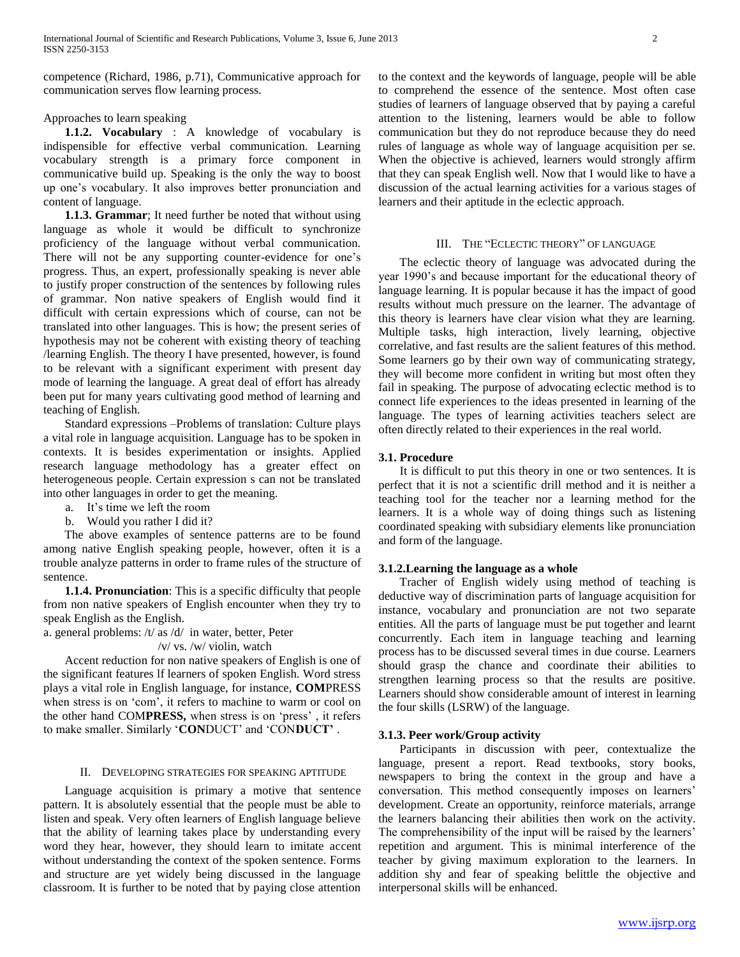competence (Richard, 1986, p.71), Communicative approach for communication serves flow learning process.

#### Approaches to learn speaking

 **1.1.2. Vocabulary** : A knowledge of vocabulary is indispensible for effective verbal communication. Learning vocabulary strength is a primary force component in communicative build up. Speaking is the only the way to boost up one's vocabulary. It also improves better pronunciation and content of language.

 **1.1.3. Grammar**; It need further be noted that without using language as whole it would be difficult to synchronize proficiency of the language without verbal communication. There will not be any supporting counter-evidence for one's progress. Thus, an expert, professionally speaking is never able to justify proper construction of the sentences by following rules of grammar. Non native speakers of English would find it difficult with certain expressions which of course, can not be translated into other languages. This is how; the present series of hypothesis may not be coherent with existing theory of teaching /learning English. The theory I have presented, however, is found to be relevant with a significant experiment with present day mode of learning the language. A great deal of effort has already been put for many years cultivating good method of learning and teaching of English.

 Standard expressions –Problems of translation: Culture plays a vital role in language acquisition. Language has to be spoken in contexts. It is besides experimentation or insights. Applied research language methodology has a greater effect on heterogeneous people. Certain expression s can not be translated into other languages in order to get the meaning.

- a. It's time we left the room
- b. Would you rather I did it?

 The above examples of sentence patterns are to be found among native English speaking people, however, often it is a trouble analyze patterns in order to frame rules of the structure of sentence.

 **1.1.4. Pronunciation**: This is a specific difficulty that people from non native speakers of English encounter when they try to speak English as the English.

a. general problems: /t/ as /d/ in water, better, Peter

#### /v/ vs. /w/ violin, watch

 Accent reduction for non native speakers of English is one of the significant features lf learners of spoken English. Word stress plays a vital role in English language, for instance, **COM**PRESS when stress is on 'com', it refers to machine to warm or cool on the other hand COM**PRESS,** when stress is on 'press' , it refers to make smaller. Similarly '**CON**DUCT' and 'CON**DUCT'** .

#### II. DEVELOPING STRATEGIES FOR SPEAKING APTITUDE

 Language acquisition is primary a motive that sentence pattern. It is absolutely essential that the people must be able to listen and speak. Very often learners of English language believe that the ability of learning takes place by understanding every word they hear, however, they should learn to imitate accent without understanding the context of the spoken sentence. Forms and structure are yet widely being discussed in the language classroom. It is further to be noted that by paying close attention

to the context and the keywords of language, people will be able to comprehend the essence of the sentence. Most often case studies of learners of language observed that by paying a careful attention to the listening, learners would be able to follow communication but they do not reproduce because they do need rules of language as whole way of language acquisition per se. When the objective is achieved, learners would strongly affirm that they can speak English well. Now that I would like to have a discussion of the actual learning activities for a various stages of learners and their aptitude in the eclectic approach.

## III. THE "ECLECTIC THEORY" OF LANGUAGE

 The eclectic theory of language was advocated during the year 1990's and because important for the educational theory of language learning. It is popular because it has the impact of good results without much pressure on the learner. The advantage of this theory is learners have clear vision what they are learning. Multiple tasks, high interaction, lively learning, objective correlative, and fast results are the salient features of this method. Some learners go by their own way of communicating strategy, they will become more confident in writing but most often they fail in speaking. The purpose of advocating eclectic method is to connect life experiences to the ideas presented in learning of the language. The types of learning activities teachers select are often directly related to their experiences in the real world.

## **3.1. Procedure**

 It is difficult to put this theory in one or two sentences. It is perfect that it is not a scientific drill method and it is neither a teaching tool for the teacher nor a learning method for the learners. It is a whole way of doing things such as listening coordinated speaking with subsidiary elements like pronunciation and form of the language.

## **3.1.2.Learning the language as a whole**

 Tracher of English widely using method of teaching is deductive way of discrimination parts of language acquisition for instance, vocabulary and pronunciation are not two separate entities. All the parts of language must be put together and learnt concurrently. Each item in language teaching and learning process has to be discussed several times in due course. Learners should grasp the chance and coordinate their abilities to strengthen learning process so that the results are positive. Learners should show considerable amount of interest in learning the four skills (LSRW) of the language.

## **3.1.3. Peer work/Group activity**

 Participants in discussion with peer, contextualize the language, present a report. Read textbooks, story books, newspapers to bring the context in the group and have a conversation. This method consequently imposes on learners' development. Create an opportunity, reinforce materials, arrange the learners balancing their abilities then work on the activity. The comprehensibility of the input will be raised by the learners' repetition and argument. This is minimal interference of the teacher by giving maximum exploration to the learners. In addition shy and fear of speaking belittle the objective and interpersonal skills will be enhanced.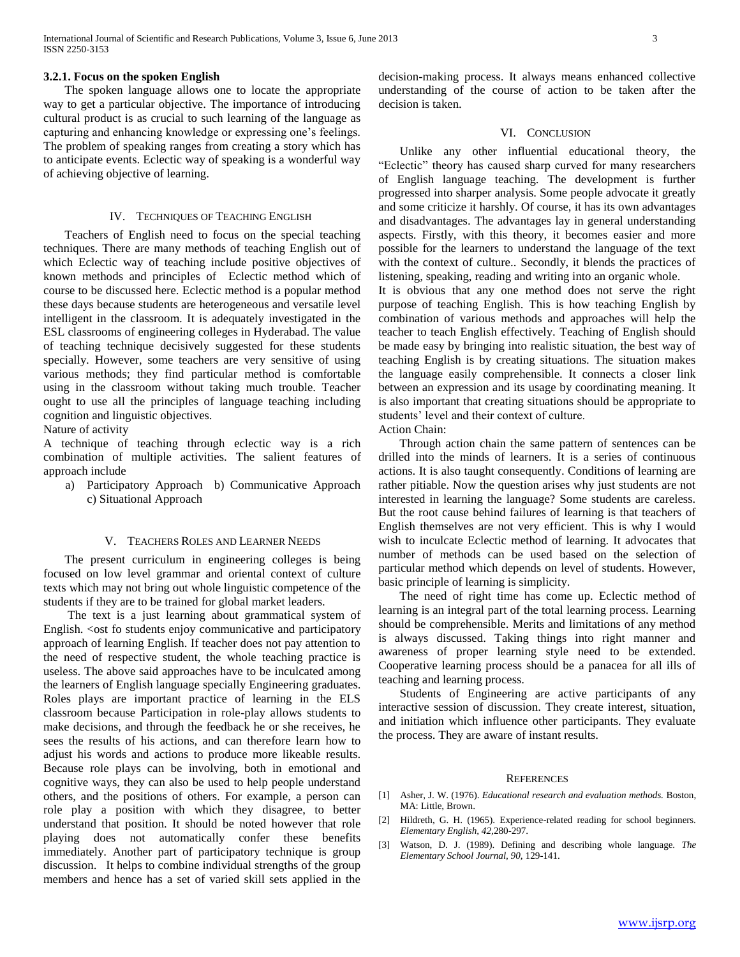## **3.2.1. Focus on the spoken English**

 The spoken language allows one to locate the appropriate way to get a particular objective. The importance of introducing cultural product is as crucial to such learning of the language as capturing and enhancing knowledge or expressing one's feelings. The problem of speaking ranges from creating a story which has to anticipate events. Eclectic way of speaking is a wonderful way of achieving objective of learning.

#### IV. TECHNIQUES OF TEACHING ENGLISH

 Teachers of English need to focus on the special teaching techniques. There are many methods of teaching English out of which Eclectic way of teaching include positive objectives of known methods and principles of Eclectic method which of course to be discussed here. Eclectic method is a popular method these days because students are heterogeneous and versatile level intelligent in the classroom. It is adequately investigated in the ESL classrooms of engineering colleges in Hyderabad. The value of teaching technique decisively suggested for these students specially. However, some teachers are very sensitive of using various methods; they find particular method is comfortable using in the classroom without taking much trouble. Teacher ought to use all the principles of language teaching including cognition and linguistic objectives.

Nature of activity

A technique of teaching through eclectic way is a rich combination of multiple activities. The salient features of approach include

a) Participatory Approach b) Communicative Approach c) Situational Approach

#### V. TEACHERS ROLES AND LEARNER NEEDS

 The present curriculum in engineering colleges is being focused on low level grammar and oriental context of culture texts which may not bring out whole linguistic competence of the students if they are to be trained for global market leaders.

 The text is a just learning about grammatical system of English. <ost fo students enjoy communicative and participatory approach of learning English. If teacher does not pay attention to the need of respective student, the whole teaching practice is useless. The above said approaches have to be inculcated among the learners of English language specially Engineering graduates. Roles plays are important practice of learning in the ELS classroom because Participation in role-play allows students to make decisions, and through the feedback he or she receives, he sees the results of his actions, and can therefore learn how to adjust his words and actions to produce more likeable results. Because role plays can be involving, both in emotional and cognitive ways, they can also be used to help people understand others, and the positions of others. For example, a person can role play a position with which they disagree, to better understand that position. It should be noted however that role playing does not automatically confer these benefits immediately. Another part of participatory technique is group discussion. It helps to combine individual strengths of the group members and hence has a set of varied skill sets applied in the

decision-making process. It always means enhanced collective understanding of the course of action to be taken after the decision is taken.

## VI. CONCLUSION

 Unlike any other influential educational theory, the "Eclectic" theory has caused sharp curved for many researchers of English language teaching. The development is further progressed into sharper analysis. Some people advocate it greatly and some criticize it harshly. Of course, it has its own advantages and disadvantages. The advantages lay in general understanding aspects. Firstly, with this theory, it becomes easier and more possible for the learners to understand the language of the text with the context of culture.. Secondly, it blends the practices of listening, speaking, reading and writing into an organic whole.

It is obvious that any one method does not serve the right purpose of teaching English. This is how teaching English by combination of various methods and approaches will help the teacher to teach English effectively. Teaching of English should be made easy by bringing into realistic situation, the best way of teaching English is by creating situations. The situation makes the language easily comprehensible. It connects a closer link between an expression and its usage by coordinating meaning. It is also important that creating situations should be appropriate to students' level and their context of culture. Action Chain:

 Through action chain the same pattern of sentences can be drilled into the minds of learners. It is a series of continuous actions. It is also taught consequently. Conditions of learning are rather pitiable. Now the question arises why just students are not interested in learning the language? Some students are careless. But the root cause behind failures of learning is that teachers of English themselves are not very efficient. This is why I would wish to inculcate Eclectic method of learning. It advocates that number of methods can be used based on the selection of particular method which depends on level of students. However, basic principle of learning is simplicity.

 The need of right time has come up. Eclectic method of learning is an integral part of the total learning process. Learning should be comprehensible. Merits and limitations of any method is always discussed. Taking things into right manner and awareness of proper learning style need to be extended. Cooperative learning process should be a panacea for all ills of teaching and learning process.

 Students of Engineering are active participants of any interactive session of discussion. They create interest, situation, and initiation which influence other participants. They evaluate the process. They are aware of instant results.

#### **REFERENCES**

- [1] Asher, J. W. (1976). *Educational research and evaluation methods.* Boston, MA: Little, Brown.
- [2] Hildreth, G. H. (1965). Experience-related reading for school beginners. *Elementary English, 42,*280-297.
- [3] Watson, D. J. (1989). Defining and describing whole language. *The Elementary School Journal, 90,* 129-141.